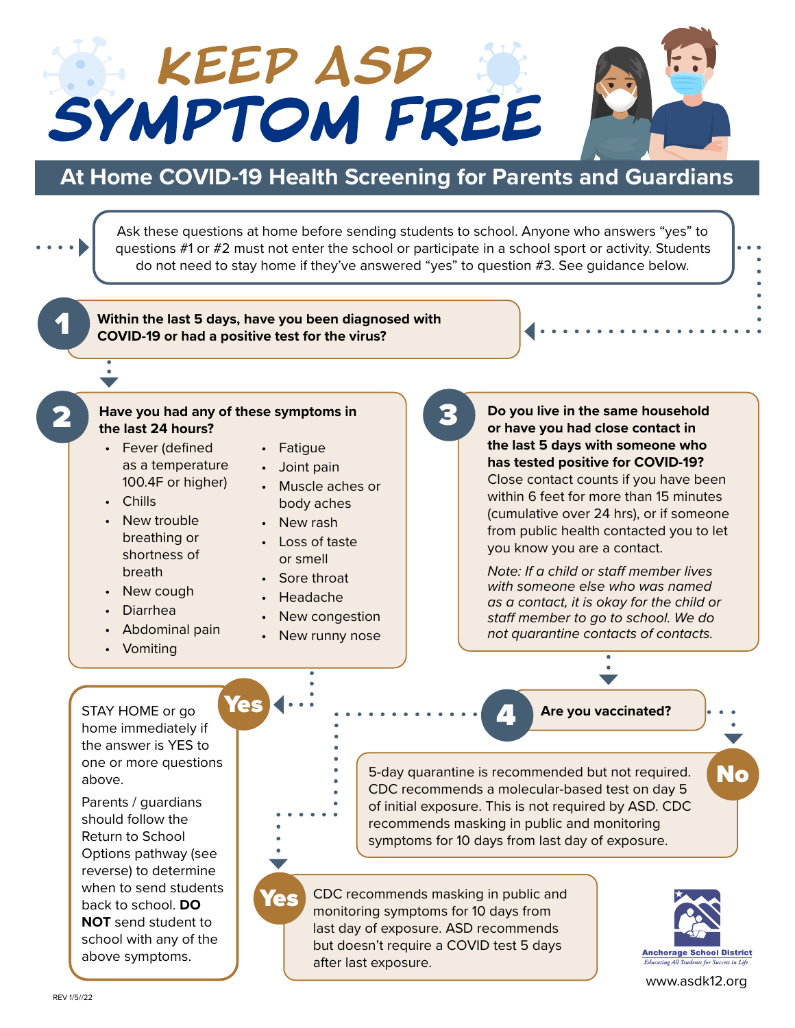



## **At Home COVID-19 Health Screening for Parents and Guardians**

Ask these questions at home before sending students to school. Anyone who answers "yes" to questions #1 or #2 must not enter the school or participate in a school sport or activity. Students do not need to stay home if they've answered "yes" to question #3. See guidance below. 1 **Within the last 5 days, have you been diagnosed with COVID-19 or had a positive test for the virus?** 2 **Have you had any of these symptoms in**  3 **Do you live in the same household the last 24 hours? or have you had close contact in the last 5 days with someone who**  • Fever (defined • Fatigue **has tested positive for COVID-19?** as a temperature • Joint pain Close contact counts if you have been 100.4F or higher) • Muscle aches or within 6 feet for more than 15 minutes • Chills body aches (cumulative over 24 hrs), or if someone • New trouble • New rash from public health contacted you to let breathing or • Loss of taste you know you are a contact. shortness of or smell *Note: If a child or staff member lives*  breath • Sore throat *with someone else who was named*  • New cough • Headache *as a contact, it is okay for the child or*  • Diarrhea New congestion *staff member to go to school. We do*  • Abdominal pain *not quarantine contacts of contacts.* New runny nose • Vomiting STAY HOME or go **Yes Are you vaccinated?** home immediately if the answer is YES to one or more questions 5-day quarantine is recommended but not required.  $\blacksquare\blacksquare$ above. CDC recommends a molecular-based test on day 5 Parents / guardians of initial exposure. This is not required by ASD. CDC should follow the recommends masking in public and monitoring Return to School symptoms for 10 days from last day of exposure. Options pathway (see reverse) to determine when to send students Yes CDC recommends masking in public and back to school. **DO**  monitoring symptoms for 10 days from **NOT** send student to last day of exposure. ASD recommends school with any of the but doesn't require a COVID test 5 days **Anchorage School District** above symptoms. after last exposure.